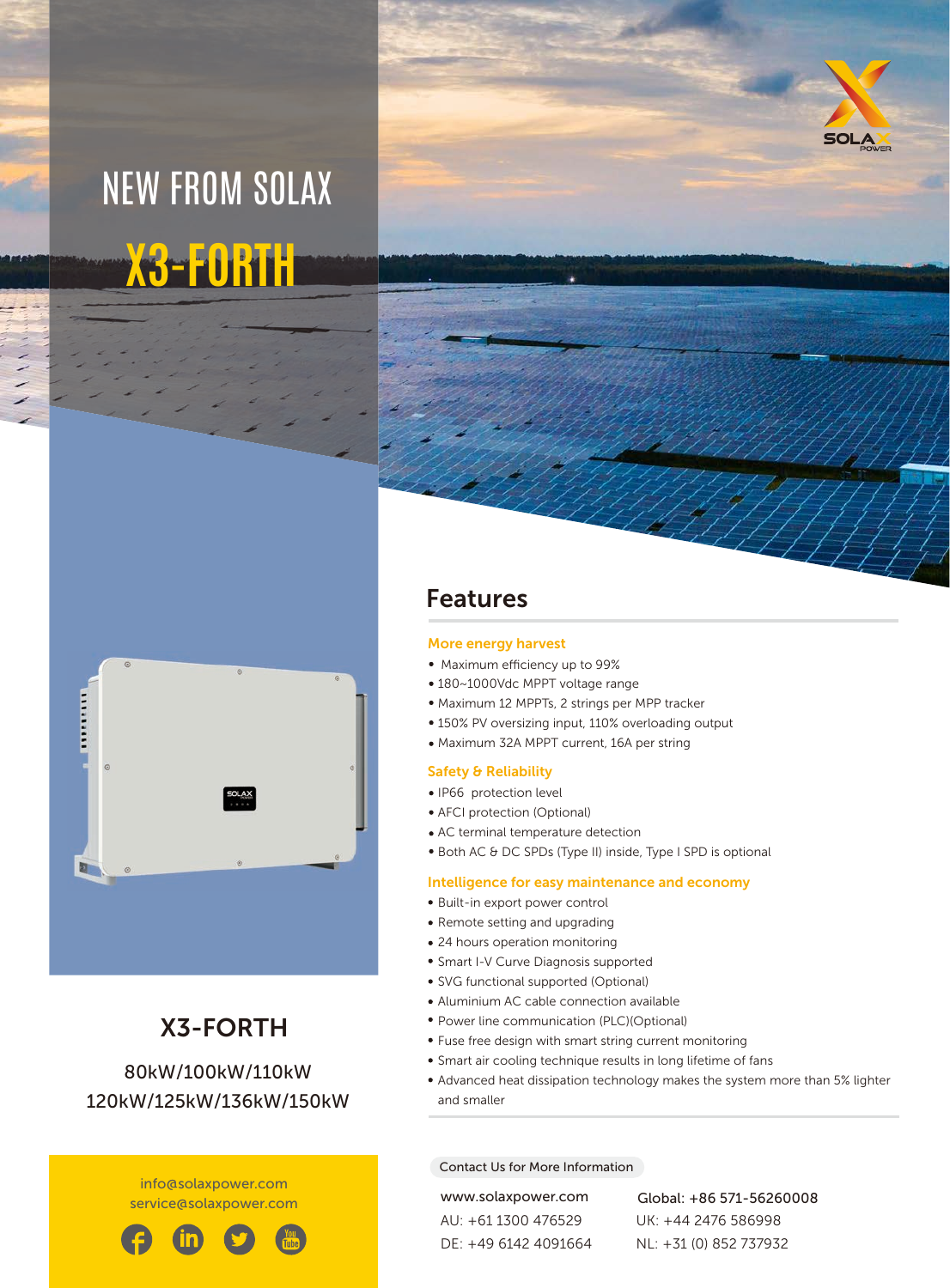# **X3-FORTH** NEW FROM SOLAX





### X3-FORTH 80 kW/100 kW/110 kW

# 120 kW/125kW/136kW/150kW

info@solaxpower.com service@solaxpower.com



### Features

#### More energy harvest

- Maximum efficiency up to 99%
- 180~1000Vdc MPPT voltage range
- Maximum 12 MPPTs, 2 strings per MPP tracker
- 150% PV oversizing input, 110% overloading output
- Maximum 32A MPPT current, 16A per string

#### Safety & Reliability

- IP66 protection level
- AFCI protection (Optional)
- AC terminal temperature detection
- Both AC & DC SPDs (Type II) inside, Type I SPD is optional

#### Intelligence for easy maintenance and economy

- Built-in export power control
- Remote setting and upgrading
- 24 hours operation monitoring
- Smart I-V Curve Diagnosis supported
- SVG functional supported (Optional)
- Aluminium AC cable connection available
- Power line communication (PLC)(Optional)
- Fuse free design with smart string current monitoring
- Smart air cooling technique results in long lifetime of fans
- Advanced heat dissipation technology makes the system more than 5% lighter and smaller

#### Contact Us for More Information

AU: +61 1300 476529 DE: +49 6142 4091664

www.solaxpower.com Global: +86 571-56260008 UK: +44 2476 586998 NL: +31 (0) 852 737932